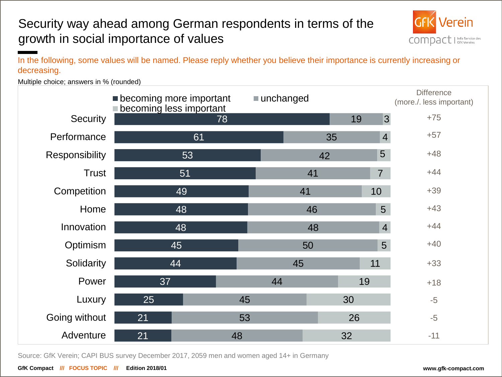### Security way ahead among German respondents in terms of the growth in social importance of values



In the following, some values will be named. Please reply whether you believe their importance is currently increasing or decreasing.

Multiple choice; answers in % (rounded)

|                 | <b>Decoming more important</b><br>becoming less important | ■ unchanged |    |    |                | <b>Difference</b><br>(more./. less important) |  |
|-----------------|-----------------------------------------------------------|-------------|----|----|----------------|-----------------------------------------------|--|
| <b>Security</b> |                                                           | 78          |    | 19 | $\overline{3}$ | $+75$                                         |  |
| Performance     | 61                                                        |             | 35 |    | $\overline{4}$ | $+57$                                         |  |
| Responsibility  | 53                                                        |             | 42 |    | 5              | $+48$                                         |  |
| <b>Trust</b>    | 51                                                        |             | 41 |    | $\overline{7}$ | $+44$                                         |  |
| Competition     | 49                                                        |             | 41 |    | 10             | $+39$                                         |  |
| Home            | 48                                                        |             | 46 |    | 5              | $+43$                                         |  |
| Innovation      | 48                                                        |             | 48 |    | $\overline{4}$ | $+44$                                         |  |
| Optimism        | 45                                                        |             | 50 |    |                | $+40$                                         |  |
| Solidarity      | 44                                                        |             | 45 |    | 11             | $+33$                                         |  |
| Power           | 37                                                        | 44          |    | 19 |                | $+18$                                         |  |
| Luxury          | 25                                                        | 45          |    | 30 |                | $-5$                                          |  |
| Going without   | 21                                                        | 53          |    | 26 |                | $-5$                                          |  |
| Adventure       | 21                                                        | 48          |    | 32 |                | $-11$                                         |  |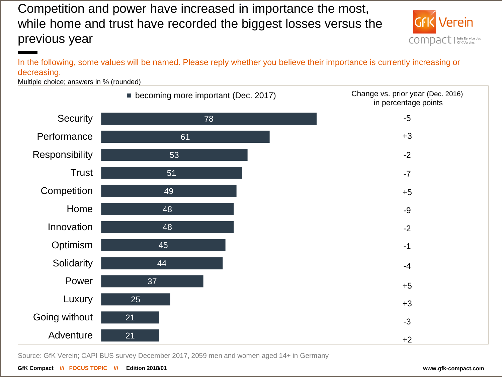Competition and power have increased in importance the most, while home and trust have recorded the biggest losses versus the previous year



In the following, some values will be named. Please reply whether you believe their importance is currently increasing or decreasing.

Multiple choice; answers in % (rounded)

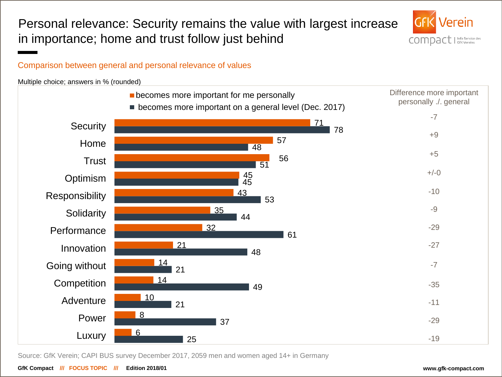Personal relevance: Security remains the value with largest increase in importance; home and trust follow just behind



#### Comparison between general and personal relevance of values

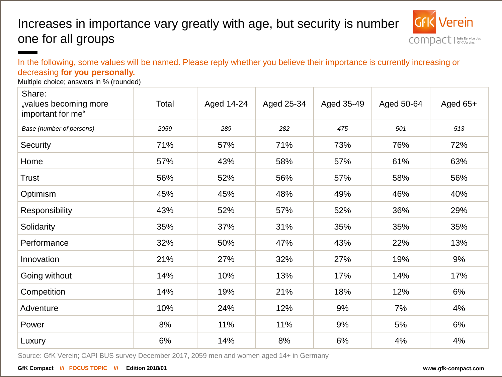### Increases in importance vary greatly with age, but security is number one for all groups



In the following, some values will be named. Please reply whether you believe their importance is currently increasing or decreasing **for you personally.**

Multiple choice; answers in % (rounded)

| Share:<br>"values becoming more<br>important for me" | Total | Aged 14-24 | Aged 25-34 | Aged 35-49 | Aged 50-64 | Aged $65+$ |
|------------------------------------------------------|-------|------------|------------|------------|------------|------------|
| Base (number of persons)                             | 2059  | 289        | 282        | 475        | 501        | 513        |
| Security                                             | 71%   | 57%        | 71%        | 73%        | 76%        | 72%        |
| Home                                                 | 57%   | 43%        | 58%        | 57%        | 61%        | 63%        |
| <b>Trust</b>                                         | 56%   | 52%        | 56%        | 57%        | 58%        | 56%        |
| Optimism                                             | 45%   | 45%        | 48%        | 49%        | 46%        | 40%        |
| Responsibility                                       | 43%   | 52%        | 57%        | 52%        | 36%        | 29%        |
| Solidarity                                           | 35%   | 37%        | 31%        | 35%        | 35%        | 35%        |
| Performance                                          | 32%   | 50%        | 47%        | 43%        | 22%        | 13%        |
| Innovation                                           | 21%   | 27%        | 32%        | 27%        | 19%        | 9%         |
| Going without                                        | 14%   | 10%        | 13%        | 17%        | 14%        | 17%        |
| Competition                                          | 14%   | 19%        | 21%        | 18%        | 12%        | 6%         |
| Adventure                                            | 10%   | 24%        | 12%        | 9%         | 7%         | 4%         |
| Power                                                | 8%    | 11%        | 11%        | 9%         | 5%         | 6%         |
| Luxury                                               | 6%    | 14%        | 8%         | 6%         | 4%         | 4%         |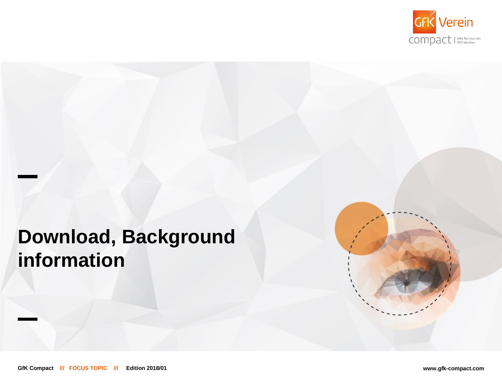

# **Download, Background information**

**GfK Compact /// FOCUS TOPIC /// Edition 2018/01 www.gfk-compact.com**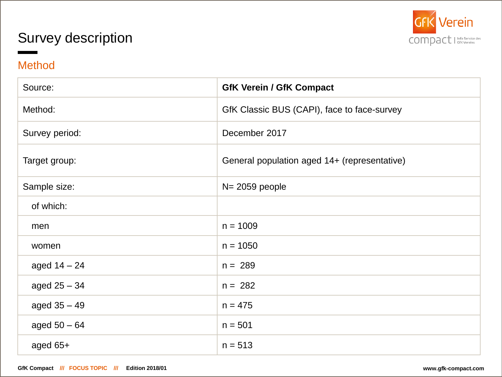### Survey description



### Method

| Source:        | <b>GfK Verein / GfK Compact</b>              |
|----------------|----------------------------------------------|
| Method:        | GfK Classic BUS (CAPI), face to face-survey  |
| Survey period: | December 2017                                |
| Target group:  | General population aged 14+ (representative) |
| Sample size:   | $N = 2059$ people                            |
| of which:      |                                              |
| men            | $n = 1009$                                   |
| women          | $n = 1050$                                   |
| aged $14 - 24$ | $n = 289$                                    |
| aged $25 - 34$ | $n = 282$                                    |
| aged $35 - 49$ | $n = 475$                                    |
| aged $50 - 64$ | $n = 501$                                    |
| aged $65+$     | $n = 513$                                    |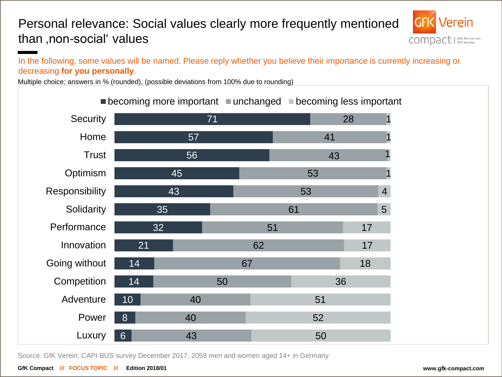### Personal relevance: Social values clearly more frequently mentioned than ,non-social' values



In the following, some values will be named. Please reply whether you believe their importance is currently increasing or decreasing **for you personally**.

Multiple choice; answers in % (rounded), (possible deviations from 100% due to rounding)

| $-$ boodining more important $-$ anonanged $-$ boodining rood important |                  |    |    |    |    |    |                |
|-------------------------------------------------------------------------|------------------|----|----|----|----|----|----------------|
| Security                                                                |                  |    | 71 |    |    | 28 |                |
| Home                                                                    |                  | 57 |    |    | 41 |    |                |
| <b>Trust</b>                                                            |                  | 56 |    |    |    | 43 |                |
| Optimism                                                                |                  | 45 |    |    | 53 |    |                |
| Responsibility                                                          |                  | 43 |    |    | 53 |    | $\overline{4}$ |
| Solidarity                                                              |                  | 35 |    |    | 61 |    | 5              |
| Performance                                                             | 32               |    |    | 51 |    | 17 |                |
| Innovation                                                              | 21               |    |    | 62 |    | 17 |                |
| Going without                                                           | 14               |    |    | 67 |    | 18 |                |
| Competition                                                             | 14               |    | 50 |    |    | 36 |                |
| Adventure                                                               | 10               | 40 |    |    | 51 |    |                |
| Power                                                                   | 8                | 40 |    |    | 52 |    |                |
| Luxury                                                                  | $6 \overline{6}$ | 43 |    |    | 50 |    |                |

 $\blacksquare$  becoming more important  $\blacksquare$  unchanged  $\blacksquare$  becoming less important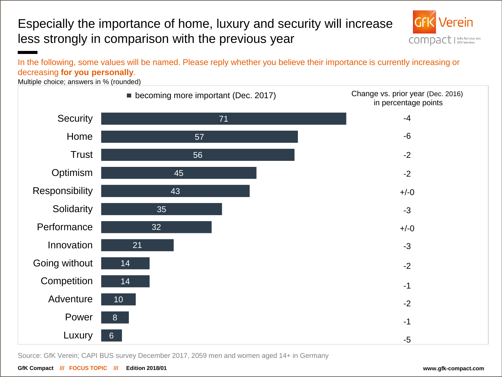### Especially the importance of home, luxury and security will increase less strongly in comparison with the previous year



#### In the following, some values will be named. Please reply whether you believe their importance is currently increasing or decreasing **for you personally**.

Multiple choice; answers in % (rounded)